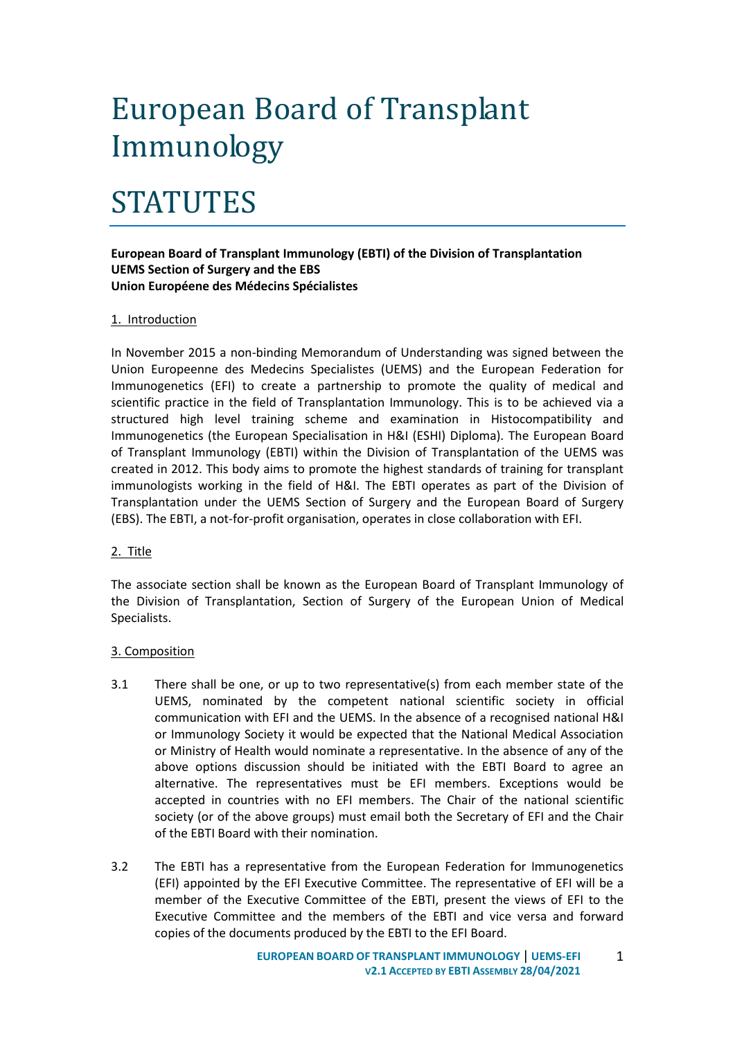# European Board of Transplant Immunology

# STATUTES

### **European Board of Transplant Immunology (EBTI) of the Division of Transplantation UEMS Section of Surgery and the EBS Union Européene des Médecins Spécialistes**

#### 1. Introduction

In November 2015 a non-binding Memorandum of Understanding was signed between the Union Europeenne des Medecins Specialistes (UEMS) and the European Federation for Immunogenetics (EFI) to create a partnership to promote the quality of medical and scientific practice in the field of Transplantation Immunology. This is to be achieved via a structured high level training scheme and examination in Histocompatibility and Immunogenetics (the European Specialisation in H&I (ESHI) Diploma). The European Board of Transplant Immunology (EBTI) within the Division of Transplantation of the UEMS was created in 2012. This body aims to promote the highest standards of training for transplant immunologists working in the field of H&I. The EBTI operates as part of the Division of Transplantation under the UEMS Section of Surgery and the European Board of Surgery (EBS). The EBTI, a not-for-profit organisation, operates in close collaboration with EFI.

#### 2. Title

The associate section shall be known as the European Board of Transplant Immunology of the Division of Transplantation, Section of Surgery of the European Union of Medical Specialists.

#### 3. Composition

- 3.1 There shall be one, or up to two representative(s) from each member state of the UEMS, nominated by the competent national scientific society in official communication with EFI and the UEMS. In the absence of a recognised national H&I or Immunology Society it would be expected that the National Medical Association or Ministry of Health would nominate a representative. In the absence of any of the above options discussion should be initiated with the EBTI Board to agree an alternative. The representatives must be EFI members. Exceptions would be accepted in countries with no EFI members. The Chair of the national scientific society (or of the above groups) must email both the Secretary of EFI and the Chair of the EBTI Board with their nomination.
- 3.2 The EBTI has a representative from the European Federation for Immunogenetics (EFI) appointed by the EFI Executive Committee. The representative of EFI will be a member of the Executive Committee of the EBTI, present the views of EFI to the Executive Committee and the members of the EBTI and vice versa and forward copies of the documents produced by the EBTI to the EFI Board.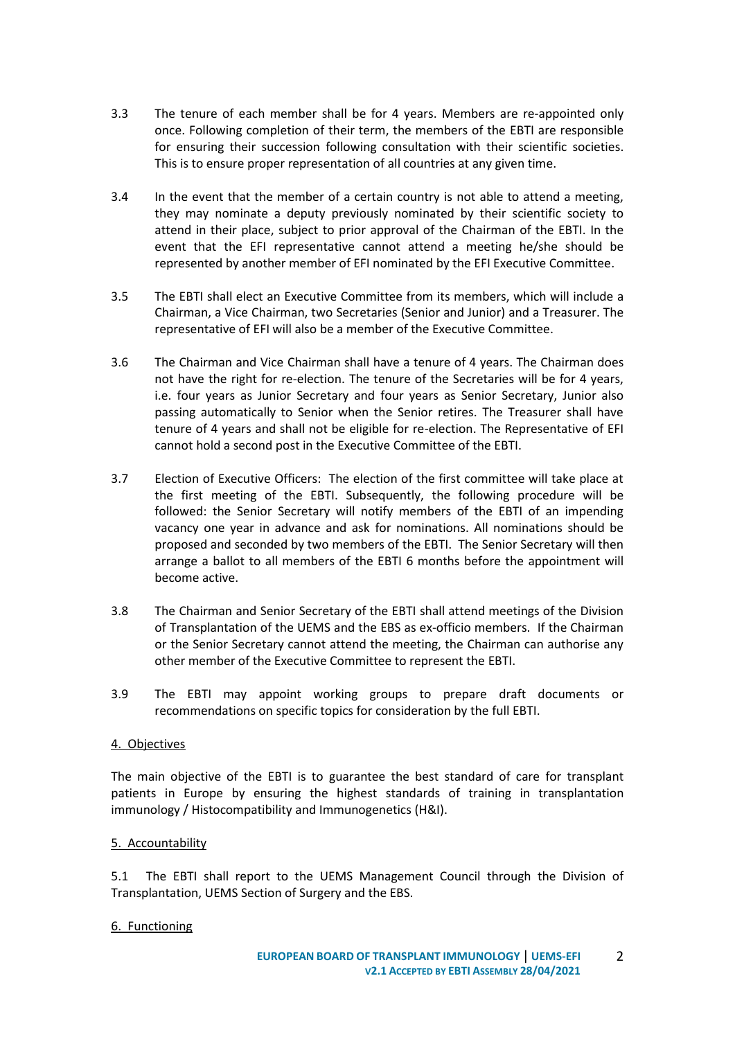- 3.3 The tenure of each member shall be for 4 years. Members are re-appointed only once. Following completion of their term, the members of the EBTI are responsible for ensuring their succession following consultation with their scientific societies. This is to ensure proper representation of all countries at any given time.
- 3.4 In the event that the member of a certain country is not able to attend a meeting, they may nominate a deputy previously nominated by their scientific society to attend in their place, subject to prior approval of the Chairman of the EBTI. In the event that the EFI representative cannot attend a meeting he/she should be represented by another member of EFI nominated by the EFI Executive Committee.
- 3.5 The EBTI shall elect an Executive Committee from its members, which will include a Chairman, a Vice Chairman, two Secretaries (Senior and Junior) and a Treasurer. The representative of EFI will also be a member of the Executive Committee.
- 3.6 The Chairman and Vice Chairman shall have a tenure of 4 years. The Chairman does not have the right for re-election. The tenure of the Secretaries will be for 4 years, i.e. four years as Junior Secretary and four years as Senior Secretary, Junior also passing automatically to Senior when the Senior retires. The Treasurer shall have tenure of 4 years and shall not be eligible for re-election. The Representative of EFI cannot hold a second post in the Executive Committee of the EBTI.
- 3.7 Election of Executive Officers: The election of the first committee will take place at the first meeting of the EBTI. Subsequently, the following procedure will be followed: the Senior Secretary will notify members of the EBTI of an impending vacancy one year in advance and ask for nominations. All nominations should be proposed and seconded by two members of the EBTI. The Senior Secretary will then arrange a ballot to all members of the EBTI 6 months before the appointment will become active.
- 3.8 The Chairman and Senior Secretary of the EBTI shall attend meetings of the Division of Transplantation of the UEMS and the EBS as ex-officio members. If the Chairman or the Senior Secretary cannot attend the meeting, the Chairman can authorise any other member of the Executive Committee to represent the EBTI.
- 3.9 The EBTI may appoint working groups to prepare draft documents or recommendations on specific topics for consideration by the full EBTI.

#### 4. Objectives

The main objective of the EBTI is to guarantee the best standard of care for transplant patients in Europe by ensuring the highest standards of training in transplantation immunology / Histocompatibility and Immunogenetics (H&I).

#### 5. Accountability

5.1 The EBTI shall report to the UEMS Management Council through the Division of Transplantation, UEMS Section of Surgery and the EBS.

#### 6. Functioning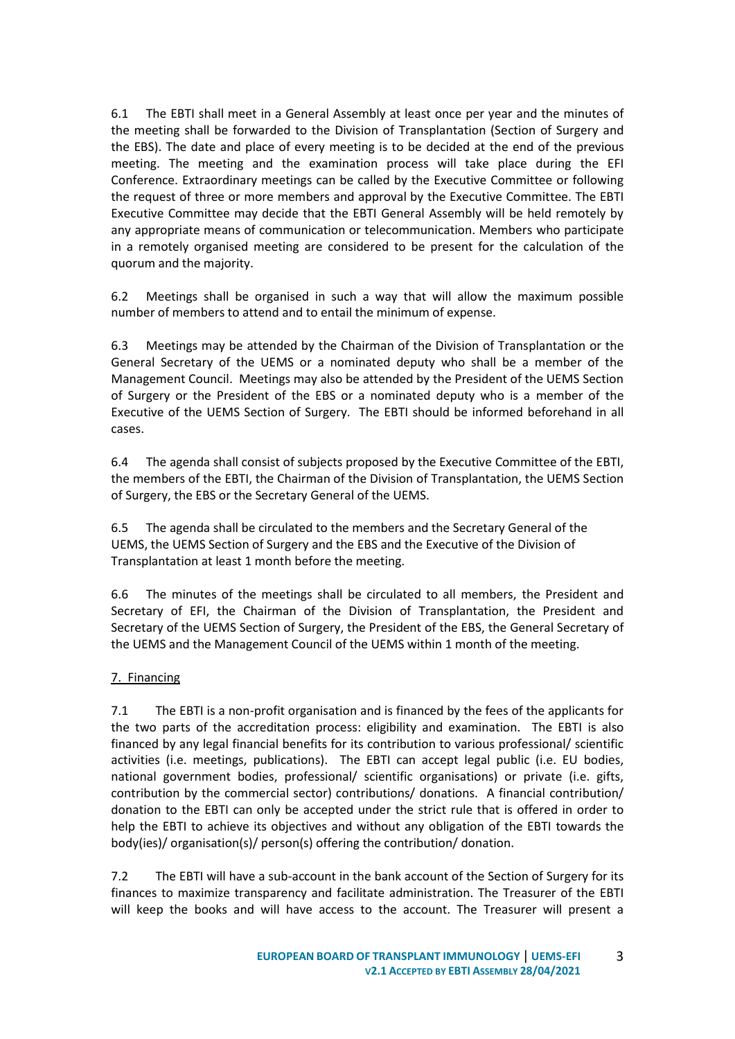6.1 The EBTI shall meet in a General Assembly at least once per year and the minutes of the meeting shall be forwarded to the Division of Transplantation (Section of Surgery and the EBS). The date and place of every meeting is to be decided at the end of the previous meeting. The meeting and the examination process will take place during the EFI Conference. Extraordinary meetings can be called by the Executive Committee or following the request of three or more members and approval by the Executive Committee. The EBTI Executive Committee may decide that the EBTI General Assembly will be held remotely by any appropriate means of communication or telecommunication. Members who participate in a remotely organised meeting are considered to be present for the calculation of the quorum and the majority.

6.2 Meetings shall be organised in such a way that will allow the maximum possible number of members to attend and to entail the minimum of expense.

6.3 Meetings may be attended by the Chairman of the Division of Transplantation or the General Secretary of the UEMS or a nominated deputy who shall be a member of the Management Council. Meetings may also be attended by the President of the UEMS Section of Surgery or the President of the EBS or a nominated deputy who is a member of the Executive of the UEMS Section of Surgery. The EBTI should be informed beforehand in all cases.

6.4 The agenda shall consist of subjects proposed by the Executive Committee of the EBTI, the members of the EBTI, the Chairman of the Division of Transplantation, the UEMS Section of Surgery, the EBS or the Secretary General of the UEMS.

6.5 The agenda shall be circulated to the members and the Secretary General of the UEMS, the UEMS Section of Surgery and the EBS and the Executive of the Division of Transplantation at least 1 month before the meeting.

6.6 The minutes of the meetings shall be circulated to all members, the President and Secretary of EFI, the Chairman of the Division of Transplantation, the President and Secretary of the UEMS Section of Surgery, the President of the EBS, the General Secretary of the UEMS and the Management Council of the UEMS within 1 month of the meeting.

## 7. Financing

7.1 The EBTI is a non-profit organisation and is financed by the fees of the applicants for the two parts of the accreditation process: eligibility and examination. The EBTI is also financed by any legal financial benefits for its contribution to various professional/ scientific activities (i.e. meetings, publications). The EBTI can accept legal public (i.e. EU bodies, national government bodies, professional/ scientific organisations) or private (i.e. gifts, contribution by the commercial sector) contributions/ donations. A financial contribution/ donation to the EBTI can only be accepted under the strict rule that is offered in order to help the EBTI to achieve its objectives and without any obligation of the EBTI towards the body(ies)/ organisation(s)/ person(s) offering the contribution/ donation.

7.2 The EBTI will have a sub-account in the bank account of the Section of Surgery for its finances to maximize transparency and facilitate administration. The Treasurer of the EBTI will keep the books and will have access to the account. The Treasurer will present a